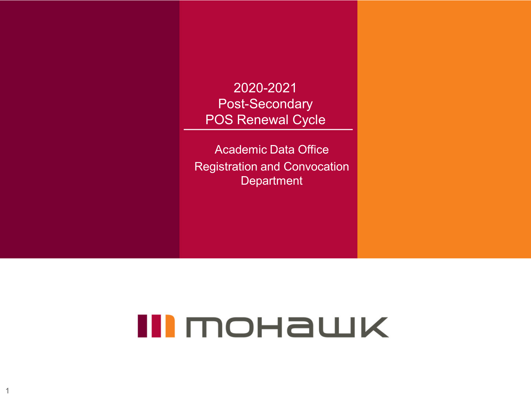2020-2021 Post-Secondary POS Renewal Cycle

Academic Data Office Registration and Convocation **Department** 

# III MOHAWK

1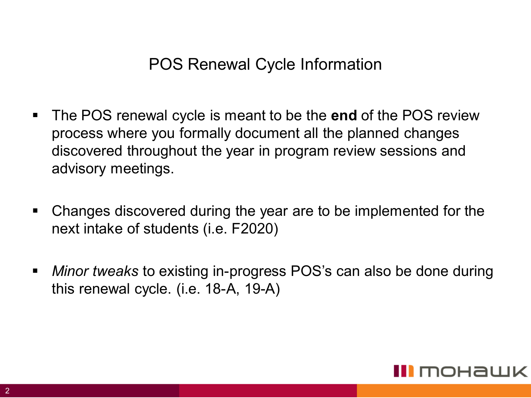#### POS Renewal Cycle Information

- The POS renewal cycle is meant to be the **end** of the POS review process where you formally document all the planned changes discovered throughout the year in program review sessions and advisory meetings.
- Changes discovered during the year are to be implemented for the next intake of students (i.e. F2020)
- *Minor tweaks* to existing in-progress POS's can also be done during this renewal cycle. (i.e. 18-A, 19-A)

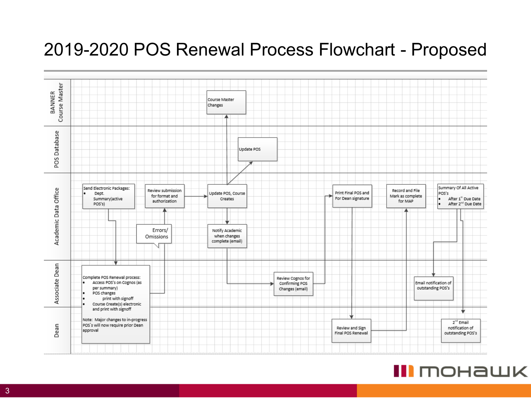#### 2019-2020 POS Renewal Process Flowchart - Proposed



#### III mohawk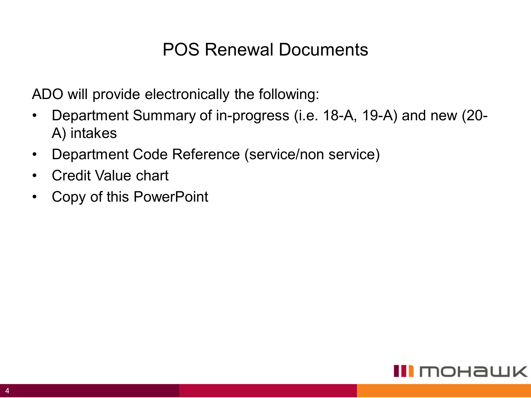#### POS Renewal Documents

ADO will provide electronically the following:

- Department Summary of in-progress (i.e. 18-A, 19-A) and new (20- A) intakes
- Department Code Reference (service/non service)
- Credit Value chart
- Copy of this PowerPoint

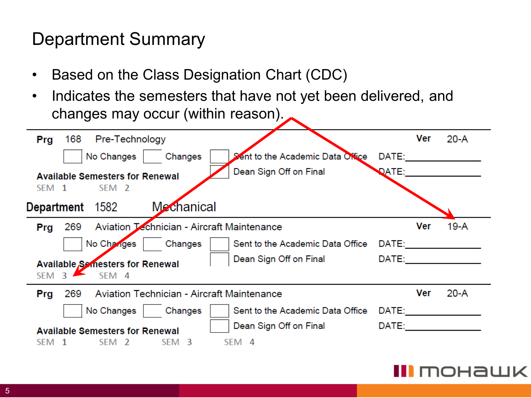## Department Summary

- Based on the Class Designation Chart (CDC)
- Indicates the semesters that have not yet been delivered, and changes may occur (within reason).

| Prg              | 168             | Pre-Technology                                             |                                            |                                  |              | Ver | $20-A$ |
|------------------|-----------------|------------------------------------------------------------|--------------------------------------------|----------------------------------|--------------|-----|--------|
|                  |                 | No Changes                                                 | Changes                                    | Sent to the Academic Data Office | DATE:        |     |        |
| SFM 1            |                 | <b>Available Semesters for Renewal</b><br>SEM <sub>2</sub> |                                            | Dean Sign Off on Final           | <b>DATE:</b> |     |        |
|                  | Department 1582 |                                                            | <b>Mechanical</b>                          |                                  |              |     |        |
| Prg              | 269             |                                                            | Aviation Technician - Aircraft Maintenance |                                  |              | Ver | 19-A   |
|                  |                 | No Changes                                                 | Changes                                    | Sent to the Academic Data Office | DATE:        |     |        |
| SEM <sub>3</sub> |                 | <b>Available Semesters for Renewal</b><br>SEM <sub>4</sub> |                                            | Dean Sign Off on Final           | DATE:        |     |        |
| Prg              | 269             |                                                            | Aviation Technician - Aircraft Maintenance |                                  |              | Ver | $20-A$ |
|                  |                 | No Changes                                                 | Changes                                    | Sent to the Academic Data Office | DATE:        |     |        |
| SFM.             |                 | <b>Available Semesters for Renewal</b><br>SFM 2            | <b>SFM</b><br>3                            | Dean Sign Off on Final<br>SEM 4  | DATE:        |     |        |

#### III mohawk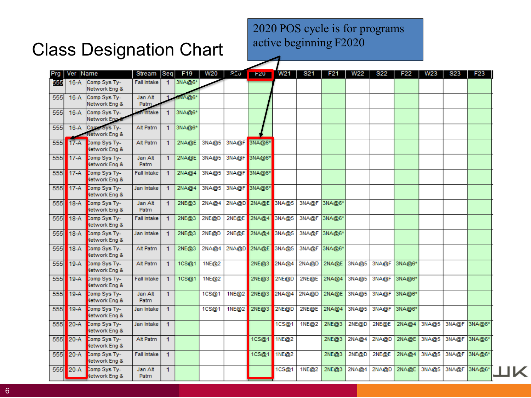2020 POS cycle is for programs active beginning F2020

#### Class Designation Chart

|     | Prg   Ver   Name |                                    | Stream             | <b>Seq</b>           | F <sub>19</sub> | W20   | 820   | E20               | W21   | <b>S21</b>   | F <sub>21</sub> | W22   | S22         | F <sub>22</sub> | W23                      | <b>S23</b>   | F23 |  |
|-----|------------------|------------------------------------|--------------------|----------------------|-----------------|-------|-------|-------------------|-------|--------------|-----------------|-------|-------------|-----------------|--------------------------|--------------|-----|--|
| 555 | $16-A$           | Comp Sys Ty-<br>Network Eng &      | <b>Fall Intake</b> |                      | 1 3NA@6*        |       |       |                   |       |              |                 |       |             |                 |                          |              |     |  |
| 555 | $16-A$           | Comp Sys Ty-<br>Network Eng &      | Jan Alt<br>Patrn   |                      | NA@6*           |       |       |                   |       |              |                 |       |             |                 |                          |              |     |  |
| 555 | $16-A$           | Comp Sys Ty-<br>Network Eng.&      | in Intake          | 1                    | 3NA@6*          |       |       |                   |       |              |                 |       |             |                 |                          |              |     |  |
| 555 | $16-A$           | Comp Sys Ty-<br>Network Eng &      | Alt Patrn          | 1                    | 3NA@6*          |       |       |                   |       |              |                 |       |             |                 |                          |              |     |  |
| 555 |                  | 17-A Comp Sys Ty-<br>Network Eng & | Alt Patrn          | $\blacktriangleleft$ | 2NA@E           | 3NA@5 | 3NA@F | 3NA@6*            |       |              |                 |       |             |                 |                          |              |     |  |
| 555 | $17-A$           | Comp Sys Ty-<br>Network Eng &      | Jan Alt<br>Patrn   | $\mathbf{1}$         | 2NA@E           | 3NA@5 |       | 3NA@F3NA@6*       |       |              |                 |       |             |                 |                          |              |     |  |
| 555 |                  | 17-A Comp Sys Ty-<br>Network Eng & | <b>Fall Intake</b> | $\blacktriangleleft$ | 2NA@4           | 3NA@5 |       | 3NA@F 3NA@6*      |       |              |                 |       |             |                 |                          |              |     |  |
| 555 | $17-A$           | Comp Sys Ty-<br>Network Eng &      | Jan Intake         | $\blacktriangleleft$ | 2NA@4           | 3NA@5 |       | 3NA@F 3NA@6*      |       |              |                 |       |             |                 |                          |              |     |  |
| 555 | 18-A             | Comp Sys Ty-<br>Network Eng &      | Jan Alt<br>Patrn   | $\mathbf{1}$         | 2NE@3           | 2NA@4 |       | 2NA@D 2NA@E 3NA@5 |       |              | 3NA@F 3NA@6*    |       |             |                 |                          |              |     |  |
| 555 | 18-A             | Comp Sys Ty-<br>Network Eng &      | <b>Fall Intake</b> | $\blacktriangleleft$ | 2NE@3           | 2NE@D | 2NE@E | 2NA@4 3NA@5       |       |              | 3NA@F 3NA@6*    |       |             |                 |                          |              |     |  |
| 555 | 18-A             | Comp Sys Ty-<br>Network Eng &      | Jan Intake         | $\blacktriangleleft$ | 2NE@3           | 2NE@D | 2NE@E | 2NA@4 3NA@5       |       |              | 3NA@F 3NA@6*    |       |             |                 |                          |              |     |  |
| 555 |                  | 18-A Comp Sys Ty-<br>Network Eng & | Alt Patrn          | $\blacktriangleleft$ | 2NE@3           | 2NA@4 |       | 2NA@D 2NA@E 3NA@5 |       | 3NA@F 3NA@6* |                 |       |             |                 |                          |              |     |  |
| 555 | $19-A$           | Comp Sys Ty-<br>Network Eng &      | Alt Patrn          | $\blacktriangleleft$ | 1CS@1           | 1NE@2 |       | 2NE@3             | 2NA@4 | 2NA@D        | 2NA@E           | 3NA@5 |             | 3NA@F 3NA@6*    |                          |              |     |  |
| 555 | $19-A$           | Comp Sys Ty-<br>Network Eng &      | Fall Intake        | -1                   | 1CS@1           | 1NE@2 |       | 2NE@3             | 2NE@D | 2NE@E        | 2NA@4           | 3NA@5 | 3NA@F       | 3NA@6*          |                          |              |     |  |
| 555 | $19-A$           | Comp Sys Ty-<br>Network Eng &      | Jan Alt<br>Patrn   | 1                    |                 | 1CS@1 | 1NE@2 | 2NE@3 2NA@4       |       | 2NA@D        | 2NA@E           | 3NA@5 |             | 3NA@F 3NA@6*    |                          |              |     |  |
| 555 | $19-A$           | Comp Sys Ty-<br>Network Eng &      | Jan Intake         | 1                    |                 | 1CS@1 | 1NE@2 | 2NE@3             | 2NE@D | 2NE@E        | 2NA@4           | 3NA@5 | 3NA@F       | 3NA@6*          |                          |              |     |  |
| 555 | 20-A             | Comp Sys Ty-<br>Network Eng &      | Jan Intake         | $\blacktriangleleft$ |                 |       |       |                   | 1CS@1 | 1NE@2        | 2NE@3           | 2NE@D | 2NE@E       |                 | 2NA@4 3NA@5 3NA@F 3NA@6* |              |     |  |
| 555 | <b>20-A</b>      | Comp Sys Ty-<br>Network Eng &      | Alt Patrn          | $\mathbf{1}$         |                 |       |       | 1CS@1             | 1NE@2 |              | 2NE@3           | 2NA@4 | 2NA@D       | 2NA@E           | 3NA@5 3NA@F 3NA@6*       |              |     |  |
| 555 | 20-A             | Comp Sys Ty-<br>Network Eng &      | <b>Fall Intake</b> | $\mathbf{1}$         |                 |       |       | 1CS@1             | 1NE@2 |              | 2NE@3           | 2NE@D | 2NE@E       | 2NA@4           | 3NA@5                    | 3NA@F 3NA@6* |     |  |
| 555 | 20-A             | Comp Sys Ty-<br>Network Eng &      | Jan Alt<br>Patrn   | 1                    |                 |       |       |                   | 1CS@1 | 1NE@2        | 2NE@3           | 2NA@4 | 2NA@D 2NA@E |                 | 3NA@5 3NA@F 3NA@6*       |              |     |  |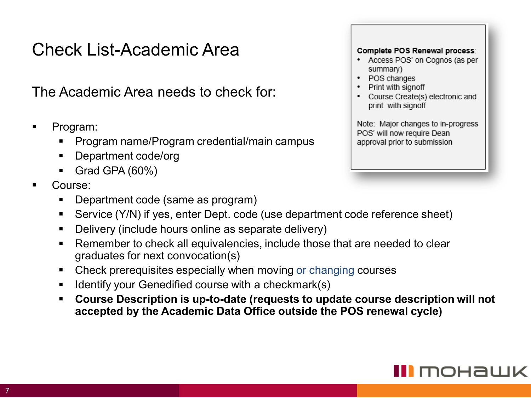### Check List-Academic Area

The Academic Area needs to check for:

- Program:
	- Program name/Program credential/main campus
	- Department code/org
	- Grad GPA  $(60\%)$
- Course:
	- Department code (same as program)
	- Service (Y/N) if yes, enter Dept. code (use department code reference sheet)
	- Delivery (include hours online as separate delivery)
	- Remember to check all equivalencies, include those that are needed to clear graduates for next convocation(s)
	- Check prerequisites especially when moving or changing courses
	- Identify your Genedified course with a checkmark(s)
	- **Course Description is up-to-date (requests to update course description will not accepted by the Academic Data Office outside the POS renewal cycle)**

#### Complete POS Renewal process:

- Access POS' on Cognos (as per summary)
- •POS changes
- •Print with signoff
- • Course Create(s) electronic and print with signoff

Note: Major changes to in-progress POS' will now require Dean approval prior to submission

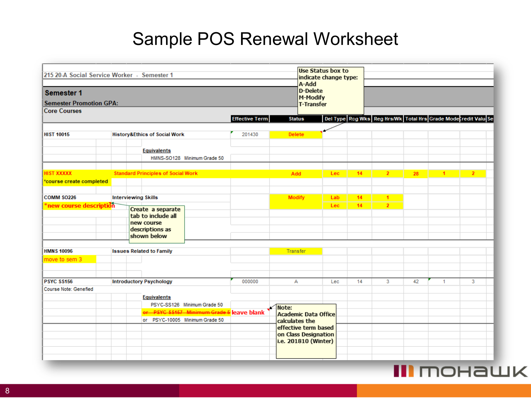## Sample POS Renewal Worksheet

| 215 20-A Social Service Worker - Semester 1 |                                                                                         |                                                   |                       | Use Status box to<br>indicate change type:<br>A-Add                                    |      |    |                      |    |              |                                                                |
|---------------------------------------------|-----------------------------------------------------------------------------------------|---------------------------------------------------|-----------------------|----------------------------------------------------------------------------------------|------|----|----------------------|----|--------------|----------------------------------------------------------------|
| <b>Semester 1</b>                           |                                                                                         |                                                   |                       | <b>D-Delete</b><br>M-Modify                                                            |      |    |                      |    |              |                                                                |
| <b>Semester Promotion GPA:</b>              |                                                                                         |                                                   |                       | <b>T-Transfer</b>                                                                      |      |    |                      |    |              |                                                                |
| <b>Core Courses</b>                         |                                                                                         |                                                   |                       |                                                                                        |      |    |                      |    |              |                                                                |
|                                             |                                                                                         |                                                   | <b>Effective Term</b> | <b>Status</b>                                                                          |      |    |                      |    |              | Del Type Reg Wks Reg Hrs/Wk Total Hrs Grade Moderredit Valu Se |
| <b>HIST 10015</b>                           |                                                                                         | <b>History&amp;Ethics of Social Work</b>          | 201430                | <b>Delete</b>                                                                          |      |    |                      |    |              |                                                                |
|                                             |                                                                                         |                                                   |                       |                                                                                        |      |    |                      |    |              |                                                                |
|                                             |                                                                                         | <b>Equivalents</b><br>HMNS-SO128 Minimum Grade 50 |                       |                                                                                        |      |    |                      |    |              |                                                                |
|                                             |                                                                                         |                                                   |                       |                                                                                        |      |    |                      |    |              |                                                                |
| <b>HIST XXXXX</b>                           |                                                                                         | <b>Standard Principles of Social Work</b>         |                       | Add                                                                                    | Lec. | 14 | $\overline{2}$       | 28 | $\mathbf{1}$ | $\overline{2}$                                                 |
| *course create completed                    |                                                                                         |                                                   |                       |                                                                                        |      |    |                      |    |              |                                                                |
| <b>COMM SO226</b>                           | <b>Interviewing Skills</b>                                                              |                                                   |                       | <b>Modify</b>                                                                          | Lab  | 14 | $\blacktriangleleft$ |    |              |                                                                |
|                                             | Create a separate<br>tab to include all<br>new course<br>descriptions as<br>shown below |                                                   |                       |                                                                                        | Lec- | 14 | $\overline{2}$       |    |              |                                                                |
| <b>HMNS 10096</b>                           | <b>Issues Related to Family</b>                                                         |                                                   |                       | Transfer                                                                               |      |    |                      |    |              |                                                                |
| move to sem 3                               |                                                                                         |                                                   |                       |                                                                                        |      |    |                      |    |              |                                                                |
| <b>PSYC SS156</b>                           | <b>Introductory Psychology</b>                                                          |                                                   | 000000                | А                                                                                      | Lec  | 14 | 3                    | 42 | $\mathbf{1}$ | 3                                                              |
| Course Note: Genefied                       |                                                                                         |                                                   |                       |                                                                                        |      |    |                      |    |              |                                                                |
|                                             |                                                                                         | <b>Equivalents</b><br>PSYC-SS126 Minimum Grade 50 |                       | Note:                                                                                  |      |    |                      |    |              |                                                                |
|                                             |                                                                                         | er PSYC SS167 Minimum Grade & leave blank         |                       | Academic Data Office                                                                   |      |    |                      |    |              |                                                                |
|                                             |                                                                                         | or PSYC-10005 Minimum Grade 50                    |                       | calculates the<br>effective term based<br>on Class Designation<br>i.e. 201810 (Winter) |      |    |                      |    |              |                                                                |

#### **III** mohawk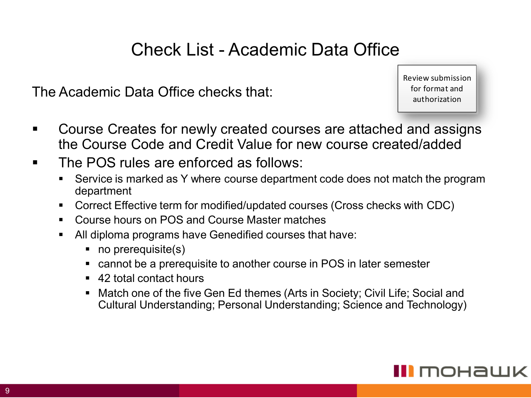#### Check List - Academic Data Office

The Academic Data Office checks that:

Review submission for format and authorization

- Course Creates for newly created courses are attached and assigns the Course Code and Credit Value for new course created/added
- The POS rules are enforced as follows:
	- Service is marked as Y where course department code does not match the program department
	- Correct Effective term for modified/updated courses (Cross checks with CDC)
	- Course hours on POS and Course Master matches
	- All diploma programs have Genedified courses that have:
		- no prerequisite(s)
		- cannot be a prerequisite to another course in POS in later semester
		- 42 total contact hours
		- Match one of the five Gen Ed themes (Arts in Society; Civil Life; Social and Cultural Understanding; Personal Understanding; Science and Technology)

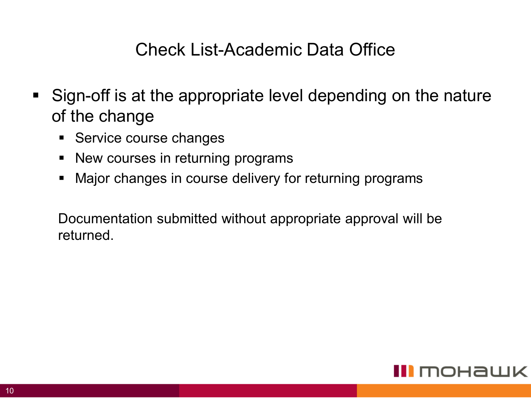#### Check List-Academic Data Office

- Sign-off is at the appropriate level depending on the nature of the change
	- **EXEC** Service course changes
	- New courses in returning programs
	- Major changes in course delivery for returning programs

Documentation submitted without appropriate approval will be returned.

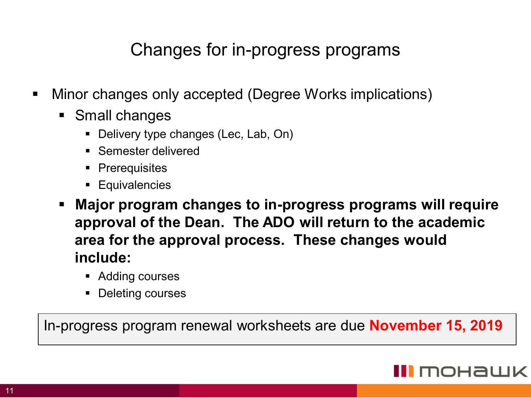#### Changes for in-progress programs

- Minor changes only accepted (Degree Works implications)
	- Small changes
		- Delivery type changes (Lec, Lab, On)
		- Semester delivered
		- Prerequisites
		- **Equivalencies**
	- **Major program changes to in-progress programs will require approval of the Dean. The ADO will return to the academic area for the approval process. These changes would include:** 
		- Adding courses
		- Deleting courses

In-progress program renewal worksheets are due **November 15, 2019**

#### **I** mohawk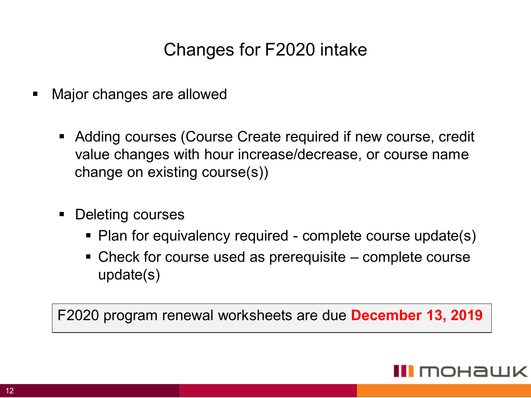# Changes for F2020 intake

- Major changes are allowed
	- Adding courses (Course Create required if new course, credit value changes with hour increase/decrease, or course name change on existing course(s))
	- Deleting courses
		- Plan for equivalency required complete course update(s)
		- Check for course used as prerequisite complete course update(s)

F2020 program renewal worksheets are due **December 13, 2019**

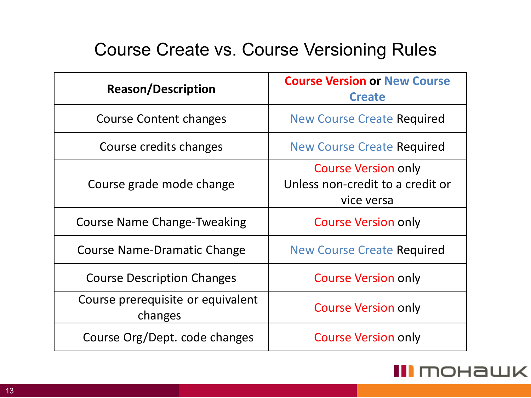## Course Create vs. Course Versioning Rules

| <b>Reason/Description</b>                    | <b>Course Version or New Course</b><br><b>Create</b>                         |  |  |  |  |
|----------------------------------------------|------------------------------------------------------------------------------|--|--|--|--|
| <b>Course Content changes</b>                | <b>New Course Create Required</b>                                            |  |  |  |  |
| Course credits changes                       | <b>New Course Create Required</b>                                            |  |  |  |  |
| Course grade mode change                     | <b>Course Version only</b><br>Unless non-credit to a credit or<br>vice versa |  |  |  |  |
| <b>Course Name Change-Tweaking</b>           | <b>Course Version only</b>                                                   |  |  |  |  |
| <b>Course Name-Dramatic Change</b>           | <b>New Course Create Required</b>                                            |  |  |  |  |
| <b>Course Description Changes</b>            | <b>Course Version only</b>                                                   |  |  |  |  |
| Course prerequisite or equivalent<br>changes | <b>Course Version only</b>                                                   |  |  |  |  |
| Course Org/Dept. code changes                | <b>Course Version only</b>                                                   |  |  |  |  |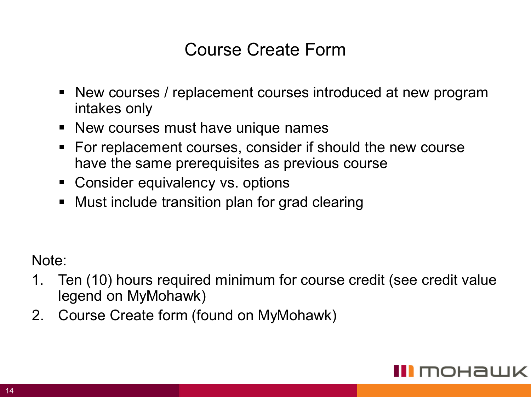#### Course Create Form

- New courses / replacement courses introduced at new program intakes only
- New courses must have unique names
- For replacement courses, consider if should the new course have the same prerequisites as previous course
- Consider equivalency vs. options
- Must include transition plan for grad clearing

Note:

- 1. Ten (10) hours required minimum for course credit (see credit value legend on MyMohawk)
- 2. Course Create form (found on MyMohawk)

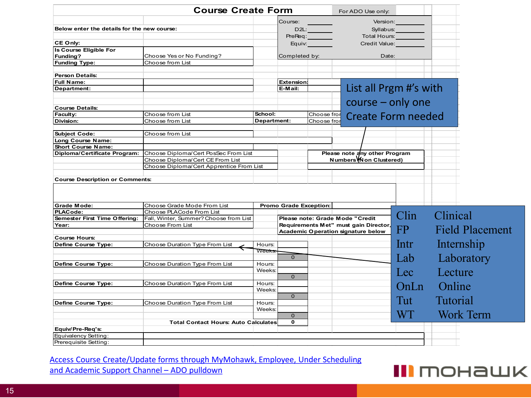|                                             | <b>Course Create Form</b>                   |                 |                        |             | For ADO Use only: |                                           |                     |                 |                        |
|---------------------------------------------|---------------------------------------------|-----------------|------------------------|-------------|-------------------|-------------------------------------------|---------------------|-----------------|------------------------|
|                                             |                                             |                 | Course:                |             |                   |                                           | Version:            |                 |                        |
| Below enter the details for the new course: |                                             |                 | D2L:                   |             |                   |                                           | Syllabus: _________ |                 |                        |
|                                             |                                             |                 |                        | PreReq:     |                   | Total Hours: Total                        |                     |                 |                        |
| CE Only:                                    |                                             |                 |                        | Equiv:      |                   | Credit Value:                             |                     |                 |                        |
| Is Course Eligible For                      |                                             |                 |                        |             |                   |                                           |                     |                 |                        |
| Funding?                                    | Choose Yes or No Funding?                   |                 | Completed by:          |             |                   | Date:                                     |                     |                 |                        |
| <b>Funding Type:</b>                        | Choose from List                            |                 |                        |             |                   |                                           |                     |                 |                        |
|                                             |                                             |                 |                        |             |                   |                                           |                     |                 |                        |
| <b>Person Details:</b>                      |                                             |                 |                        |             |                   |                                           |                     |                 |                        |
| <b>Full Name:</b>                           |                                             |                 | <b>Extension:</b>      |             |                   |                                           |                     |                 |                        |
| Department:                                 |                                             |                 | E-Mail:                |             |                   | List all Prgm #'s with                    |                     |                 |                        |
|                                             |                                             |                 |                        |             |                   |                                           |                     |                 |                        |
| <b>Course Details:</b>                      |                                             |                 |                        |             |                   | $course - only one$                       |                     |                 |                        |
| Faculty:                                    | Choose from List                            | School:         |                        | Choose fror |                   |                                           |                     |                 |                        |
| Division:                                   | Choose from List                            | Department:     |                        | Choose froi |                   | <b>Create Form needed</b>                 |                     |                 |                        |
|                                             |                                             |                 |                        |             |                   |                                           |                     |                 |                        |
| <b>Subject Code:</b>                        | Choose from List                            |                 |                        |             |                   |                                           |                     |                 |                        |
| Long Course Name:                           |                                             |                 |                        |             |                   |                                           |                     |                 |                        |
| Short Course Name:                          |                                             |                 |                        |             |                   |                                           |                     |                 |                        |
| Diploma/Certificate Program:                | Choose Diploma/Cert PosSec From List        |                 |                        |             |                   | Please note any other Program             |                     |                 |                        |
|                                             | Choose Diploma/Cert CE From List            |                 |                        |             |                   | Numbers Mon Clustered)                    |                     |                 |                        |
|                                             | Choose Diploma/Cert Apprentice From List    |                 |                        |             |                   |                                           |                     |                 |                        |
|                                             |                                             |                 |                        |             |                   |                                           |                     |                 |                        |
| <b>Course Description or Comments:</b>      |                                             |                 |                        |             |                   |                                           |                     |                 |                        |
|                                             |                                             |                 |                        |             |                   |                                           |                     |                 |                        |
|                                             |                                             |                 |                        |             |                   |                                           |                     |                 |                        |
| <b>Grade Mode:</b>                          | Choose Grade Mode From List                 |                 | Promo Grade Exception: |             |                   |                                           |                     |                 |                        |
| <b>PLACode:</b>                             | Choose PLACode From List                    |                 |                        |             |                   |                                           | Clin                | Clinical        |                        |
| Semester First Time Offering:               | Fall, Winter, Summer? Choose from List      |                 |                        |             |                   | Please note: Grade Mode "Credit           |                     |                 |                        |
| Year:                                       | Choose From List                            |                 |                        |             |                   | Requirements Met" must gain Director,     | FP <sub>1</sub>     |                 | <b>Field Placement</b> |
|                                             |                                             |                 |                        |             |                   | <b>Academic Operation signature below</b> |                     |                 |                        |
| <b>Course Hours:</b>                        | Choose Duration Type From List              |                 |                        |             |                   |                                           | Intr                |                 | Internship             |
| Define Course Type:                         |                                             | Hours:<br>Weeks |                        |             |                   |                                           |                     |                 |                        |
|                                             |                                             |                 | $\mathbf{0}$           |             |                   |                                           |                     |                 |                        |
| Define Course Type:                         | Choose Duration Type From List              | Hours:          |                        |             |                   |                                           | Lab                 |                 | Laboratory             |
|                                             |                                             | Weeks:          |                        |             |                   |                                           |                     |                 |                        |
|                                             |                                             |                 | $\mathbf{0}$           |             |                   |                                           | Lec                 | Lecture         |                        |
| Define Course Type:                         | Choose Duration Type From List              | Hours:          |                        |             |                   |                                           |                     |                 |                        |
|                                             |                                             | Weeks:          |                        |             |                   |                                           | OnLn                | Online          |                        |
|                                             |                                             |                 | $\mathbf{0}$           |             |                   |                                           |                     |                 |                        |
| Define Course Type:                         | Choose Duration Type From List              | Hours:          |                        |             |                   |                                           | Tut                 | <b>Tutorial</b> |                        |
|                                             |                                             | Weeks:          |                        |             |                   |                                           |                     |                 |                        |
|                                             |                                             |                 | $\mathbf{0}$           |             |                   |                                           | WT                  |                 | <b>Work Term</b>       |
|                                             | <b>Total Contact Hours: Auto Calculates</b> |                 | $\mathbf{0}$           |             |                   |                                           |                     |                 |                        |
| Equiv/Pre-Req's:                            |                                             |                 |                        |             |                   |                                           |                     |                 |                        |
| Equivalency Setting:                        |                                             |                 |                        |             |                   |                                           |                     |                 |                        |
| Prerequisite Setting:                       |                                             |                 |                        |             |                   |                                           |                     |                 |                        |

Access Course Create/Update forms through MyMohawk, Employee, Under Scheduling and Academic Support Channel – ADO pulldown

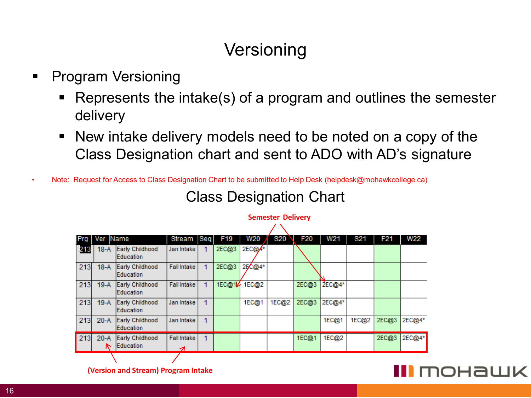# **Versioning**

- Program Versioning
	- Represents the intake(s) of a program and outlines the semester delivery
	- New intake delivery models need to be noted on a copy of the Class Designation chart and sent to ADO with AD's signature
- Note: Request for Access to Class Designation Chart to be submitted to Help Desk ([helpdesk@mohawkcollege.ca](mailto:helpdesk@mohawkcollege.ca))

#### Class Designation Chart

| Prg | Ver Name |                                     | Stream                  | Seq | F <sub>19</sub> | W20      | S20   | <b>F20</b> | W21    | S <sub>21</sub> | F <sub>21</sub> | <b>W22</b> |
|-----|----------|-------------------------------------|-------------------------|-----|-----------------|----------|-------|------------|--------|-----------------|-----------------|------------|
| 213 | $18-A$   | Early Childhood<br>Education        | Jan Intake              |     | 2EC@3           | $2EC@A*$ |       |            |        |                 |                 |            |
| 213 | $18-A$   | Early Childhood<br>Education        | <b>Fall Intake</b>      |     | 2EC@3           | 2EC@4*   |       |            |        |                 |                 |            |
| 213 | $19-A$   | Early Childhood<br>Education        | Fall Intake             |     | 1EC@14          | 1EC@2    |       | 2EC@3      | 2EC@4* |                 |                 |            |
| 213 | $19-A$   | Early Childhood<br>Education        | Jan Intake              | 1   |                 | 1EC@1    | 1EC@2 | 2EC@3      | 2EC@4* |                 |                 |            |
| 213 | $20-A$   | Early Childhood<br>Education        | Jan Intake              | 1   |                 |          |       |            | 1EC@1  | 1EC@2           | 2EC@3           | 2EC@4*     |
| 213 | $20-A$   | Early Childhood<br><b>Education</b> | <b>Fall Intake</b><br>っ | 1   |                 |          |       | 1EC@1      | 1EC@2  |                 | 2EC@3           | 2EC@4*     |
|     |          |                                     |                         |     |                 |          |       |            |        |                 |                 |            |

#### **Semester Delivery** $\lambda$

#### II MOHAWK

**(Version and Stream) Program Intake**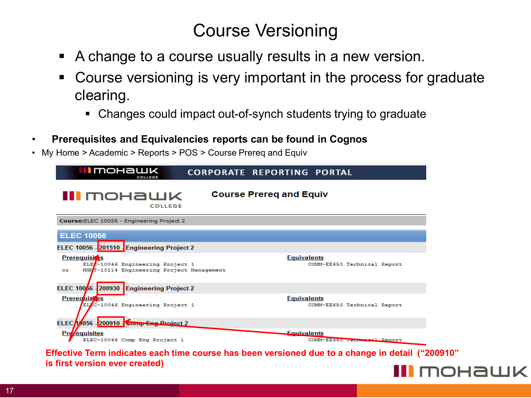#### Course Versioning

- A change to a course usually results in a new version.
- Course versioning is very important in the process for graduate clearing.
	- Changes could impact out-of-synch students trying to graduate
- **Prerequisites and Equivalencies reports can be found in Cognos**
- My Home > Academic > Reports > POS > Course Prereq and Equiv



**Effective Term indicates each time course has been versioned due to a change in detail ("200910" is first version ever created)**

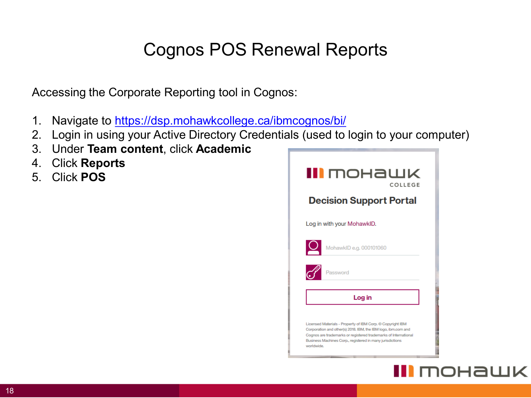# Cognos POS Renewal Reports

Accessing the Corporate Reporting tool in Cognos:

- 1. Navigate to <https://dsp.mohawkcollege.ca/ibmcognos/bi/>
- 2. Login in using your Active Directory Credentials (used to login to your computer)
- 3. Under **Team content**, click **Academic**
- 4. Click **Reports**
- 5. Click **POS**



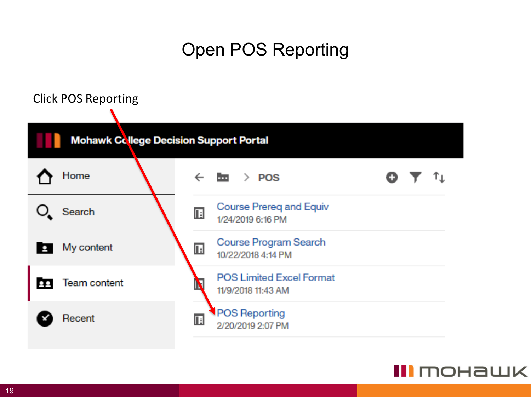# Open POS Reporting



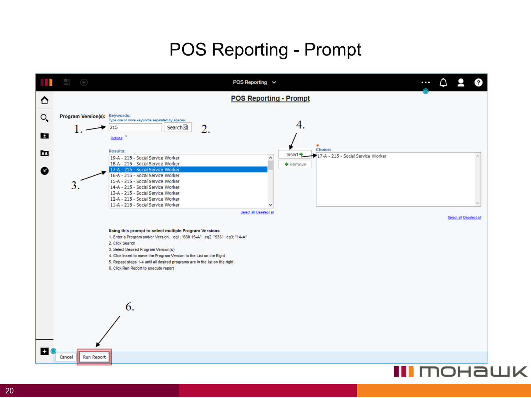## POS Reporting - Prompt

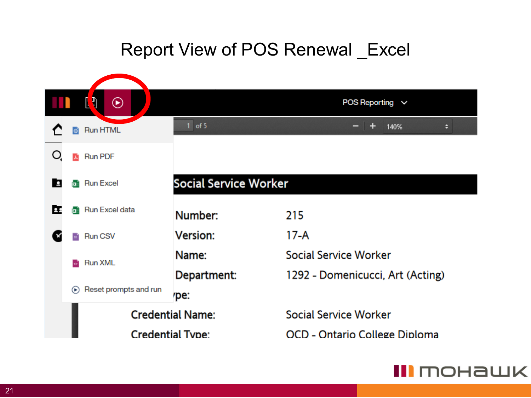# Report View of POS Renewal \_Excel



#### III mohawk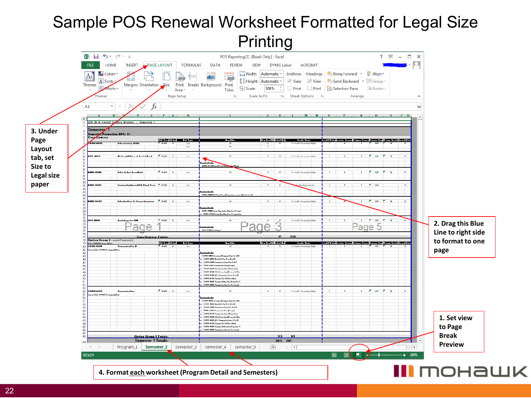#### Sample POS Renewal Worksheet Formatted for Legal Size Printing



**4. Format each worksheet (Program Detail and Semesters)**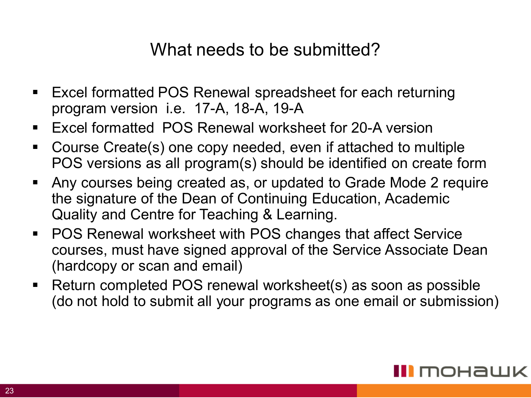#### What needs to be submitted?

- Excel formatted POS Renewal spreadsheet for each returning program version i.e. 17-A, 18-A, 19-A
- Fxcel formatted POS Renewal worksheet for 20-A version
- Course Create(s) one copy needed, even if attached to multiple POS versions as all program(s) should be identified on create form
- Any courses being created as, or updated to Grade Mode 2 require the signature of the Dean of Continuing Education, Academic Quality and Centre for Teaching & Learning.
- POS Renewal worksheet with POS changes that affect Service courses, must have signed approval of the Service Associate Dean (hardcopy or scan and email)
- Return completed POS renewal worksheet(s) as soon as possible (do not hold to submit all your programs as one email or submission)

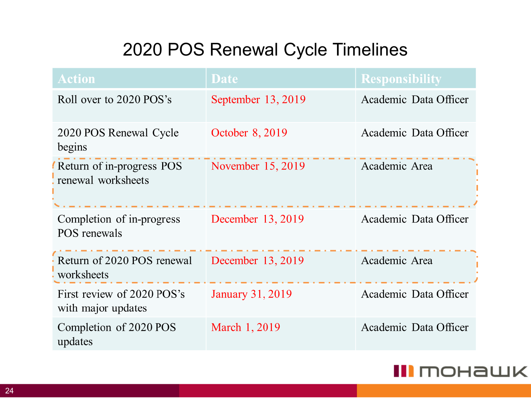# 2020 POS Renewal Cycle Timelines

| <b>Action</b>                                    | <b>Date</b>             | <b>Responsibility</b> |
|--------------------------------------------------|-------------------------|-----------------------|
| Roll over to 2020 POS's                          | September 13, 2019      | Academic Data Officer |
| 2020 POS Renewal Cycle<br>begins                 | October 8, 2019         | Academic Data Officer |
| Return of in-progress POS<br>renewal worksheets  | November 15, 2019       | Academic Area         |
| Completion of in-progress<br>POS renewals        | December 13, 2019       | Academic Data Officer |
| Return of 2020 POS renewal<br>worksheets         | December 13, 2019       | Academic Area         |
| First review of 2020 POS's<br>with major updates | <b>January 31, 2019</b> | Academic Data Officer |
| Completion of 2020 POS<br>updates                | March 1, 2019           | Academic Data Officer |